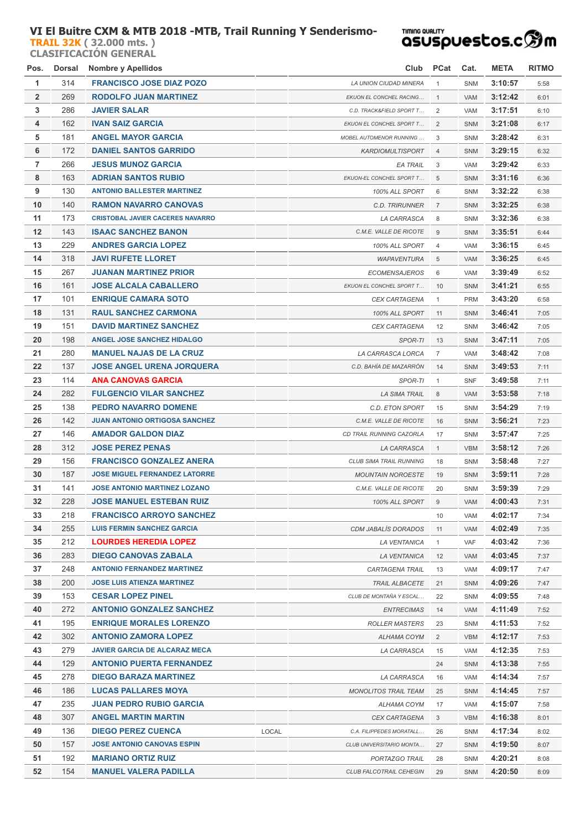## **VI El Buitre CXM & MTB 2018 -MTB, Trail Running Y Senderismo-**

**[TRAIL 32K](http://localhost/inscripcionWEBHost/prueba.php?cod=257290) ( 32.000 mts. ) CLASIFICACIÓN GENERAL**

## **TIMING QUALITY**

| Pos.           | Dorsal | <b>Nombre y Apellidos</b>               |       | Club                           | PCat           | Cat.       | <b>META</b> | <b>RITMO</b> |
|----------------|--------|-----------------------------------------|-------|--------------------------------|----------------|------------|-------------|--------------|
| $\mathbf{1}$   | 314    | <b>FRANCISCO JOSE DIAZ POZO</b>         |       | LA UNION CIUDAD MINERA         | $\mathbf{1}$   | <b>SNM</b> | 3:10:57     | 5:58         |
| $\overline{2}$ | 269    | <b>RODOLFO JUAN MARTINEZ</b>            |       | EKUON EL CONCHEL RACING        | $\mathbf{1}$   | <b>VAM</b> | 3:12:42     | 6:01         |
| 3              | 286    | <b>JAVIER SALAR</b>                     |       | C.D. TRACK&FIELD SPORT T       | 2              | <b>VAM</b> | 3:17:51     | 6:10         |
| 4              | 162    | <b>IVAN SAIZ GARCIA</b>                 |       | EKUON EL CONCHEL SPORT T       | 2              | <b>SNM</b> | 3:21:08     | 6:17         |
| 5              | 181    | <b>ANGEL MAYOR GARCIA</b>               |       | <b>MOBEL AUTOMENOR RUNNING</b> | 3              | SNM        | 3:28:42     | 6:31         |
| 6              | 172    | <b>DANIEL SANTOS GARRIDO</b>            |       | <b>KARDIOMULTISPORT</b>        | $\overline{4}$ | <b>SNM</b> | 3:29:15     | 6:32         |
| $\overline{7}$ | 266    | <b>JESUS MUNOZ GARCIA</b>               |       | EA TRAIL                       | 3              | <b>VAM</b> | 3:29:42     | 6:33         |
| 8              | 163    | <b>ADRIAN SANTOS RUBIO</b>              |       | EKUON-EL CONCHEL SPORT T       | 5              | <b>SNM</b> | 3:31:16     | 6:36         |
| 9              | 130    | <b>ANTONIO BALLESTER MARTINEZ</b>       |       | 100% ALL SPORT                 | 6              | SNM        | 3:32:22     | 6:38         |
| 10             | 140    | <b>RAMON NAVARRO CANOVAS</b>            |       | <b>C.D. TRIRUNNER</b>          | $\overline{7}$ | <b>SNM</b> | 3:32:25     | 6:38         |
| 11             | 173    | <b>CRISTOBAL JAVIER CACERES NAVARRO</b> |       | LA CARRASCA                    | 8              | <b>SNM</b> | 3:32:36     | 6:38         |
| 12             | 143    | <b>ISAAC SANCHEZ BANON</b>              |       | C.M.E. VALLE DE RICOTE         | $\overline{9}$ | <b>SNM</b> | 3:35:51     | 6:44         |
| 13             | 229    | <b>ANDRES GARCIA LOPEZ</b>              |       | 100% ALL SPORT                 | 4              | VAM        | 3:36:15     | 6:45         |
| 14             | 318    | <b>JAVI RUFETE LLORET</b>               |       | <b>WAPAVENTURA</b>             | 5              | <b>VAM</b> | 3:36:25     | 6:45         |
| 15             | 267    | <b>JUANAN MARTINEZ PRIOR</b>            |       | <b>ECOMENSAJEROS</b>           | 6              | VAM        | 3:39:49     | 6:52         |
| 16             | 161    | <b>JOSE ALCALA CABALLERO</b>            |       | EKUON EL CONCHEL SPORT T       | 10             | <b>SNM</b> | 3:41:21     | 6:55         |
| 17             | 101    | <b>ENRIQUE CAMARA SOTO</b>              |       | CEX CARTAGENA                  | $\mathbf{1}$   | <b>PRM</b> | 3:43:20     | 6:58         |
| 18             | 131    | <b>RAUL SANCHEZ CARMONA</b>             |       | 100% ALL SPORT                 | 11             | <b>SNM</b> | 3:46:41     | 7:05         |
| 19             | 151    | <b>DAVID MARTINEZ SANCHEZ</b>           |       | CEX CARTAGENA                  | 12             | SNM        | 3:46:42     | 7:05         |
| 20             | 198    | <b>ANGEL JOSE SANCHEZ HIDALGO</b>       |       | SPOR-TI                        | 13             | <b>SNM</b> | 3:47:11     | 7:05         |
| 21             | 280    | <b>MANUEL NAJAS DE LA CRUZ</b>          |       | LA CARRASCA LORCA              | $\overline{7}$ | <b>VAM</b> | 3:48:42     | 7:08         |
| 22             | 137    | <b>JOSE ANGEL URENA JORQUERA</b>        |       | C.D. BAHÍA DE MAZARRÓN         | 14             | <b>SNM</b> | 3:49:53     | 7:11         |
| 23             | 114    | <b>ANA CANOVAS GARCIA</b>               |       | SPOR-TI                        | $\mathbf{1}$   | <b>SNF</b> | 3:49:58     | 7:11         |
| 24             | 282    | <b>FULGENCIO VILAR SANCHEZ</b>          |       | <b>LA SIMA TRAIL</b>           | 8              | <b>VAM</b> | 3:53:58     | 7:18         |
| 25             | 138    | PEDRO NAVARRO DOMENE                    |       | C.D. ETON SPORT                | 15             | <b>SNM</b> | 3:54:29     | 7:19         |
| 26             | 142    | <b>JUAN ANTONIO ORTIGOSA SANCHEZ</b>    |       | C.M.E. VALLE DE RICOTE         | 16             | <b>SNM</b> | 3:56:21     | 7:23         |
| 27             | 146    | <b>AMADOR GALDON DIAZ</b>               |       | CD TRAIL RUNNING CAZORLA       | 17             | <b>SNM</b> | 3:57:47     | 7:25         |
| 28             | 312    | <b>JOSE PEREZ PENAS</b>                 |       | LA CARRASCA                    | $\mathbf{1}$   | <b>VBM</b> | 3:58:12     | 7:26         |
| 29             | 156    | <b>FRANCISCO GONZALEZ ANERA</b>         |       | CLUB SIMA TRAIL RUNNING        | 18             | SNM        | 3:58:48     | 7:27         |
| 30             | 187    | <b>JOSE MIGUEL FERNANDEZ LATORRE</b>    |       | <b>MOUNTAIN NOROESTE</b>       | 19             | <b>SNM</b> | 3:59:11     | 7:28         |
| 31             | 141    | <b>JOSE ANTONIO MARTINEZ LOZANO</b>     |       | C.M.E. VALLE DE RICOTE         | 20             | SNM        | 3:59:39     | 7:29         |
| 32             | 228    | <b>JOSE MANUEL ESTEBAN RUIZ</b>         |       | <i>100% ALL SPORT</i>          | 9              | VAM        | 4:00:43     | 7:31         |
| 33             | 218    | <b>FRANCISCO ARROYO SANCHEZ</b>         |       |                                | 10             | <b>VAM</b> | 4:02:17     | 7:34         |
| 34             | 255    | <b>LUIS FERMIN SANCHEZ GARCIA</b>       |       | <b>CDM JABALÍS DORADOS</b>     | 11             | VAM        | 4:02:49     | 7:35         |
| 35             | 212    | <b>LOURDES HEREDIA LOPEZ</b>            |       | <b>LA VENTANICA</b>            | $\mathbf{1}$   | VAF        | 4:03:42     | 7:36         |
| 36             | 283    | <b>DIEGO CANOVAS ZABALA</b>             |       | LA VENTANICA                   | 12             | VAM        | 4:03:45     | 7:37         |
| 37             | 248    | <b>ANTONIO FERNANDEZ MARTINEZ</b>       |       | CARTAGENA TRAIL                | 13             | <b>VAM</b> | 4:09:17     | 7:47         |
| 38             | 200    | <b>JOSE LUIS ATIENZA MARTINEZ</b>       |       | <b>TRAIL ALBACETE</b>          | 21             | <b>SNM</b> | 4:09:26     | 7:47         |
| 39             | 153    | <b>CESAR LOPEZ PINEL</b>                |       | CLUB DE MONTAÑA Y ESCAL        | 22             | <b>SNM</b> | 4:09:55     | 7:48         |
| 40             | 272    | <b>ANTONIO GONZALEZ SANCHEZ</b>         |       | <b>ENTRECIMAS</b>              | 14             | VAM        | 4:11:49     | 7:52         |
| 41             | 195    | <b>ENRIQUE MORALES LORENZO</b>          |       | <b>ROLLER MASTERS</b>          | 23             | SNM        | 4:11:53     | 7:52         |
| 42             | 302    | <b>ANTONIO ZAMORA LOPEZ</b>             |       | ALHAMA COYM                    | $\overline{2}$ | <b>VBM</b> | 4:12:17     | 7:53         |
| 43             | 279    | <b>JAVIER GARCIA DE ALCARAZ MECA</b>    |       | LA CARRASCA                    | 15             | VAM        | 4:12:35     | 7:53         |
| 44             | 129    | <b>ANTONIO PUERTA FERNANDEZ</b>         |       |                                | 24             | <b>SNM</b> | 4:13:38     | 7:55         |
| 45             | 278    | <b>DIEGO BARAZA MARTINEZ</b>            |       | LA CARRASCA                    | 16             | <b>VAM</b> | 4:14:34     | 7:57         |
| 46             | 186    | <b>LUCAS PALLARES MOYA</b>              |       | <b>MONOLITOS TRAIL TEAM</b>    | 25             | <b>SNM</b> | 4:14:45     | 7:57         |
| 47             | 235    | <b>JUAN PEDRO RUBIO GARCIA</b>          |       | ALHAMA COYM                    | 17             | VAM        | 4:15:07     | 7:58         |
| 48             | 307    | <b>ANGEL MARTIN MARTIN</b>              |       | <b>CEX CARTAGENA</b>           | 3              | <b>VBM</b> | 4:16:38     | 8:01         |
| 49             | 136    | <b>DIEGO PEREZ CUENCA</b>               | LOCAL | C.A. FILIPPEDES MORATALL       | 26             | SNM        | 4:17:34     | 8:02         |
| 50             | 157    | <b>JOSE ANTONIO CANOVAS ESPIN</b>       |       | CLUB UNIVERSITARIO MONTA       | 27             | <b>SNM</b> | 4:19:50     | 8:07         |
| 51             | 192    | <b>MARIANO ORTIZ RUIZ</b>               |       | PORTAZGO TRAIL                 | 28             | SNM        | 4:20:21     | 8:08         |
| 52             | 154    | <b>MANUEL VALERA PADILLA</b>            |       | CLUB FALCOTRAIL CEHEGIN        | 29             | SNM        | 4:20:50     | 8:09         |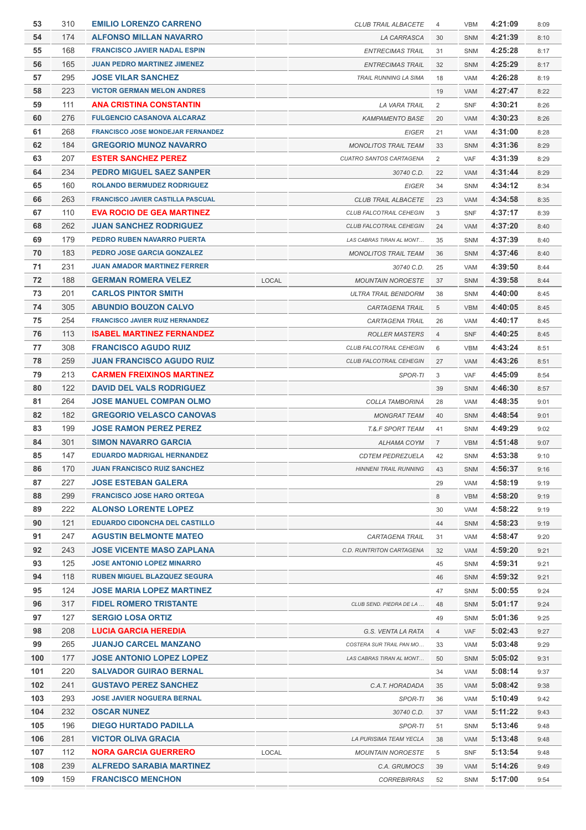| 53  | 310 | <b>EMILIO LORENZO CARRENO</b>            |              | <b>CLUB TRAIL ALBACETE</b>                            | 4              | <b>VBM</b> | 4:21:09 | 8:09 |
|-----|-----|------------------------------------------|--------------|-------------------------------------------------------|----------------|------------|---------|------|
| 54  | 174 | <b>ALFONSO MILLAN NAVARRO</b>            |              | LA CARRASCA                                           | 30             | <b>SNM</b> | 4:21:39 | 8:10 |
| 55  | 168 | <b>FRANCISCO JAVIER NADAL ESPIN</b>      |              | <b>ENTRECIMAS TRAIL</b>                               | 31             | SNM        | 4:25:28 | 8:17 |
| 56  | 165 | <b>JUAN PEDRO MARTINEZ JIMENEZ</b>       |              | <b>ENTRECIMAS TRAIL</b>                               | 32             | <b>SNM</b> | 4:25:29 | 8:17 |
| 57  | 295 | <b>JOSE VILAR SANCHEZ</b>                |              | <b>TRAIL RUNNING LA SIMA</b>                          | 18             | <b>VAM</b> | 4:26:28 | 8:19 |
| 58  | 223 | <b>VICTOR GERMAN MELON ANDRES</b>        |              |                                                       | 19             | VAM        | 4:27:47 | 8:22 |
| 59  | 111 | <b>ANA CRISTINA CONSTANTIN</b>           |              | LA VARA TRAIL                                         | 2              | <b>SNF</b> | 4:30:21 | 8:26 |
| 60  | 276 | <b>FULGENCIO CASANOVA ALCARAZ</b>        |              | <b>KAMPAMENTO BASE</b>                                | 20             | <b>VAM</b> | 4:30:23 | 8:26 |
| 61  | 268 | <b>FRANCISCO JOSE MONDEJAR FERNANDEZ</b> |              | <b>EIGER</b>                                          | 21             | VAM        | 4:31:00 | 8:28 |
| 62  | 184 | <b>GREGORIO MUNOZ NAVARRO</b>            |              | <b>MONOLITOS TRAIL TEAM</b>                           | 33             | <b>SNM</b> | 4:31:36 | 8:29 |
| 63  | 207 | <b>ESTER SANCHEZ PEREZ</b>               |              | <b>CUATRO SANTOS CARTAGENA</b>                        | $\overline{2}$ | <b>VAF</b> | 4:31:39 | 8:29 |
| 64  | 234 | <b>PEDRO MIGUEL SAEZ SANPER</b>          |              | 30740 C.D.                                            | 22             | <b>VAM</b> | 4:31:44 | 8:29 |
| 65  | 160 | <b>ROLANDO BERMUDEZ RODRIGUEZ</b>        |              | <b>EIGER</b>                                          | 34             | SNM        | 4:34:12 | 8:34 |
| 66  | 263 | <b>FRANCISCO JAVIER CASTILLA PASCUAL</b> |              |                                                       |                |            | 4:34:58 |      |
| 67  | 110 | <b>EVA ROCIO DE GEA MARTINEZ</b>         |              | <b>CLUB TRAIL ALBACETE</b><br>CLUB FALCOTRAIL CEHEGIN | 23             | VAM        | 4:37:17 | 8:35 |
|     |     |                                          |              |                                                       | 3              | <b>SNF</b> |         | 8:39 |
| 68  | 262 | <b>JUAN SANCHEZ RODRIGUEZ</b>            |              | CLUB FALCOTRAIL CEHEGIN                               | 24             | <b>VAM</b> | 4:37:20 | 8:40 |
| 69  | 179 | PEDRO RUBEN NAVARRO PUERTA               |              | LAS CABRAS TIRAN AL MONT                              | 35             | SNM        | 4:37:39 | 8:40 |
| 70  | 183 | PEDRO JOSE GARCIA GONZALEZ               |              | <b>MONOLITOS TRAIL TEAM</b>                           | 36             | SNM        | 4:37:46 | 8:40 |
| 71  | 231 | <b>JUAN AMADOR MARTINEZ FERRER</b>       |              | 30740 C.D.                                            | 25             | <b>VAM</b> | 4:39:50 | 8:44 |
| 72  | 188 | <b>GERMAN ROMERA VELEZ</b>               | LOCAL        | <b>MOUNTAIN NOROESTE</b>                              | 37             | <b>SNM</b> | 4:39:58 | 8:44 |
| 73  | 201 | <b>CARLOS PINTOR SMITH</b>               |              | <b>ULTRA TRAIL BENIDORM</b>                           | 38             | SNM        | 4:40:00 | 8:45 |
| 74  | 305 | <b>ABUNDIO BOUZON CALVO</b>              |              | CARTAGENA TRAIL                                       | 5              | <b>VBM</b> | 4:40:05 | 8:45 |
| 75  | 254 | <b>FRANCISCO JAVIER RUIZ HERNANDEZ</b>   |              | CARTAGENA TRAIL                                       | 26             | VAM        | 4:40:17 | 8:45 |
| 76  | 113 | <b>ISABEL MARTINEZ FERNANDEZ</b>         |              | <b>ROLLER MASTERS</b>                                 | $\overline{4}$ | <b>SNF</b> | 4:40:25 | 8:45 |
| 77  | 308 | <b>FRANCISCO AGUDO RUIZ</b>              |              | CLUB FALCOTRAIL CEHEGIN                               | 6              | <b>VBM</b> | 4:43:24 | 8:51 |
| 78  | 259 | <b>JUAN FRANCISCO AGUDO RUIZ</b>         |              | CLUB FALCOTRAIL CEHEGIN                               | 27             | <b>VAM</b> | 4:43:26 | 8:51 |
| 79  | 213 | <b>CARMEN FREIXINOS MARTINEZ</b>         |              | SPOR-TI                                               | 3              | <b>VAF</b> | 4:45:09 | 8:54 |
| 80  | 122 | <b>DAVID DEL VALS RODRIGUEZ</b>          |              |                                                       | 39             | SNM        | 4:46:30 | 8:57 |
| 81  | 264 | JOSE MANUEL COMPAN OLMO                  |              | COLLA TAMBORINÀ                                       | 28             | <b>VAM</b> | 4:48:35 | 9:01 |
| 82  | 182 | <b>GREGORIO VELASCO CANOVAS</b>          |              | <b>MONGRAT TEAM</b>                                   | 40             | <b>SNM</b> | 4:48:54 | 9:01 |
| 83  | 199 | <b>JOSE RAMON PEREZ PEREZ</b>            |              | <b>T.&amp;.F SPORT TEAM</b>                           | 41             | SNM        | 4:49:29 | 9:02 |
| 84  | 301 | <b>SIMON NAVARRO GARCIA</b>              |              | <b>ALHAMA COYM</b>                                    | $\overline{7}$ | <b>VBM</b> | 4:51:48 | 9:07 |
| 85  | 147 | <b>EDUARDO MADRIGAL HERNANDEZ</b>        |              | <b>CDTEM PEDREZUELA</b>                               | 42             | SNM        | 4:53:38 | 9:10 |
| 86  | 170 | <b>JUAN FRANCISCO RUIZ SANCHEZ</b>       |              | <b>HINNENI TRAIL RUNNING</b>                          | 43             | SNM        | 4:56:37 | 9:16 |
| 87  | 227 | <b>JOSE ESTEBAN GALERA</b>               |              |                                                       | 29             | VAM        | 4:58:19 | 9:19 |
| 88  | 299 | <b>FRANCISCO JOSE HARO ORTEGA</b>        |              |                                                       | 8              | <b>VBM</b> | 4:58:20 | 9:19 |
| 89  | 222 | <b>ALONSO LORENTE LOPEZ</b>              |              |                                                       | 30             | VAM        | 4:58:22 | 9:19 |
| 90  | 121 | <b>EDUARDO CIDONCHA DEL CASTILLO</b>     |              |                                                       | 44             | SNM        | 4:58:23 | 9:19 |
| 91  | 247 | <b>AGUSTIN BELMONTE MATEO</b>            |              | <b>CARTAGENA TRAIL</b>                                | 31             | VAM        | 4:58:47 | 9:20 |
| 92  | 243 | <b>JOSE VICENTE MASO ZAPLANA</b>         |              | C.D. RUNTRITON CARTAGENA                              | 32             | <b>VAM</b> | 4:59:20 | 9:21 |
| 93  | 125 | <b>JOSE ANTONIO LOPEZ MINARRO</b>        |              |                                                       | 45             | SNM        | 4:59:31 | 9:21 |
| 94  | 118 | <b>RUBEN MIGUEL BLAZQUEZ SEGURA</b>      |              |                                                       | 46             | SNM        | 4:59:32 | 9:21 |
| 95  | 124 | JOSE MARIA LOPEZ MARTINEZ                |              |                                                       | 47             | SNM        | 5:00:55 | 9:24 |
| 96  | 317 | <b>FIDEL ROMERO TRISTANTE</b>            |              | CLUB SEND. PIEDRA DE LA                               | 48             | <b>SNM</b> | 5:01:17 | 9:24 |
| 97  | 127 | <b>SERGIO LOSA ORTIZ</b>                 |              |                                                       | 49             | SNM        | 5:01:36 | 9:25 |
| 98  | 208 | LUCIA GARCIA HEREDIA                     |              | G.S. VENTA LA RATA                                    | $\overline{4}$ | <b>VAF</b> | 5:02:43 | 9:27 |
| 99  | 265 | <b>JUANJO CARCEL MANZANO</b>             |              | COSTERA SUR TRAIL PAN MO                              | 33             | VAM        | 5:03:48 | 9:29 |
| 100 | 177 | <b>JOSE ANTONIO LOPEZ LOPEZ</b>          |              | LAS CABRAS TIRAN AL MONT                              | 50             | SNM        | 5:05:02 | 9:31 |
| 101 | 220 | <b>SALVADOR GUIRAO BERNAL</b>            |              |                                                       | 34             | VAM        | 5:08:14 | 9:37 |
| 102 | 241 | <b>GUSTAVO PEREZ SANCHEZ</b>             |              | C.A.T. HORADADA                                       | 35             | <b>VAM</b> | 5:08:42 | 9:38 |
| 103 | 293 | <b>JOSE JAVIER NOGUERA BERNAL</b>        |              | SPOR-TI                                               | 36             | VAM        | 5:10:49 | 9:42 |
| 104 | 232 | <b>OSCAR NUNEZ</b>                       |              | 30740 C.D.                                            | 37             | VAM        | 5:11:22 | 9:43 |
| 105 | 196 | <b>DIEGO HURTADO PADILLA</b>             |              | SPOR-TI                                               | 51             | SNM        | 5:13:46 | 9:48 |
| 106 | 281 | <b>VICTOR OLIVA GRACIA</b>               |              | LA PURISIMA TEAM YECLA                                | 38             | VAM        | 5:13:48 | 9:48 |
| 107 | 112 | <b>NORA GARCIA GUERRERO</b>              | <b>LOCAL</b> | <b>MOUNTAIN NOROESTE</b>                              | 5              | <b>SNF</b> | 5:13:54 | 9:48 |
| 108 | 239 | <b>ALFREDO SARABIA MARTINEZ</b>          |              | C.A. GRUMOCS                                          | 39             | <b>VAM</b> | 5:14:26 | 9:49 |
| 109 | 159 | <b>FRANCISCO MENCHON</b>                 |              | <b>CORREBIRRAS</b>                                    | 52             | SNM        | 5:17:00 | 9:54 |
|     |     |                                          |              |                                                       |                |            |         |      |